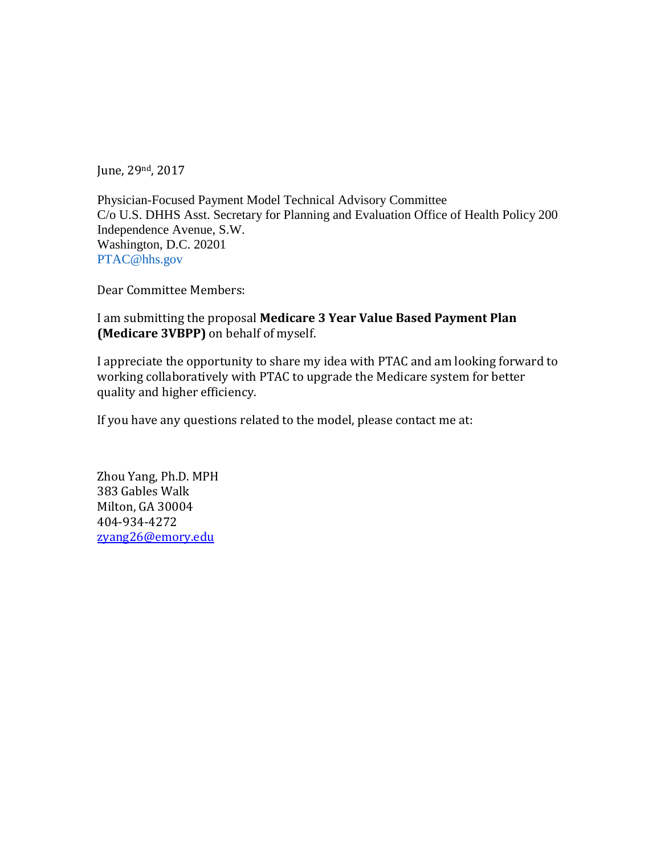June, 29nd, 2017

Physician-Focused Payment Model Technical Advisory Committee C/o U.S. DHHS Asst. Secretary for Planning and Evaluation Office of Health Policy 200 Independence Avenue, S.W. Washington, D.C. 20201 PTAC@hhs.gov

Dear Committee Members:

I am submitting the proposal **Medicare 3 Year Value Based Payment Plan (Medicare 3VBPP)** on behalf of myself.

I appreciate the opportunity to share my idea with PTAC and am looking forward to working collaboratively with PTAC to upgrade the Medicare system for better quality and higher efficiency.

If you have any questions related to the model, please contact me at:

Zhou Yang, Ph.D. MPH 383 Gables Walk Milton, GA 30004 404-934-4272 [zyang26@emory.edu](mailto:zyang26@emory.edu)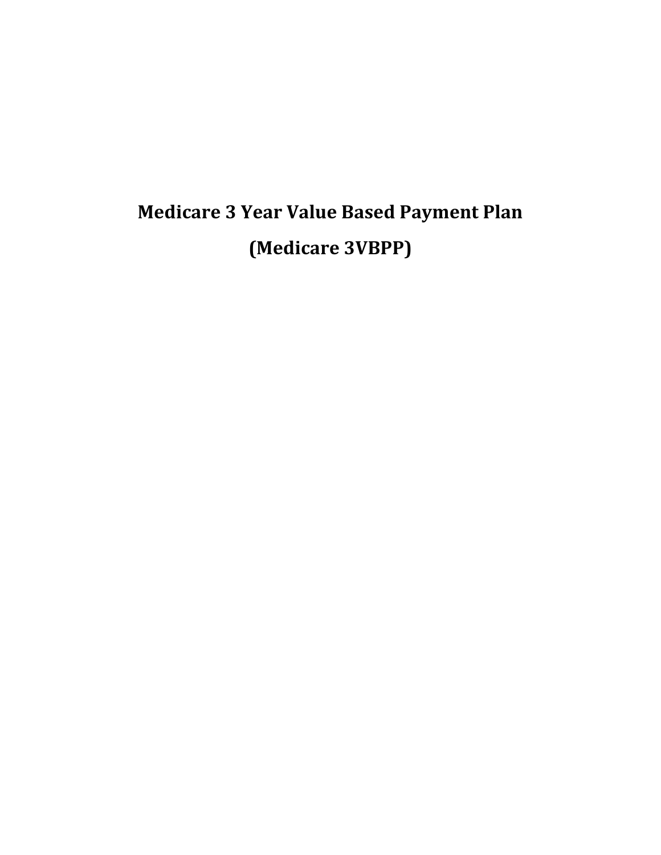# **Medicare 3 Year Value Based Payment Plan (Medicare 3VBPP)**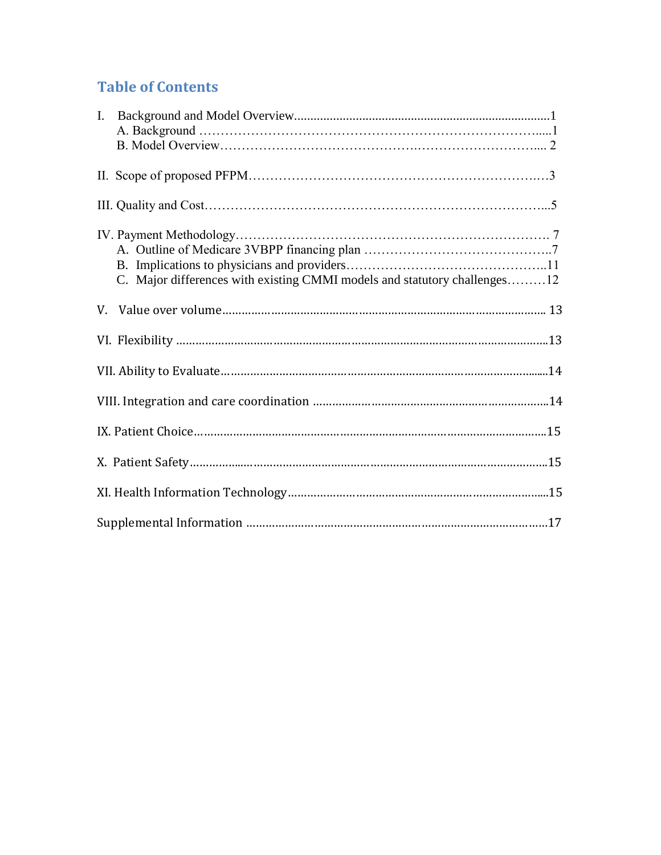# **Table of Contents**

| C. Major differences with existing CMMI models and statutory challenges12 |  |
|---------------------------------------------------------------------------|--|
|                                                                           |  |
|                                                                           |  |
|                                                                           |  |
|                                                                           |  |
|                                                                           |  |
|                                                                           |  |
|                                                                           |  |
|                                                                           |  |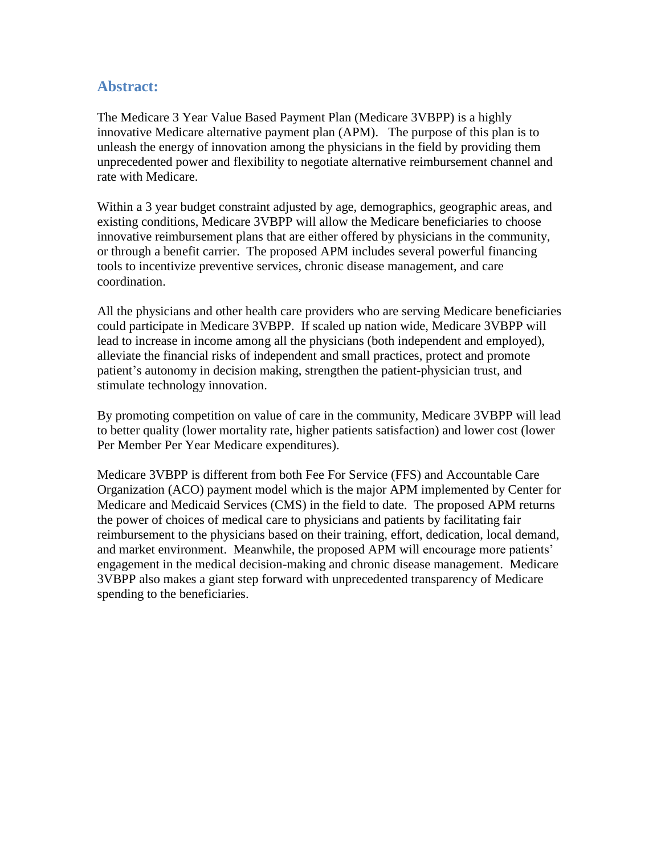## **Abstract:**

The Medicare 3 Year Value Based Payment Plan (Medicare 3VBPP) is a highly innovative Medicare alternative payment plan (APM). The purpose of this plan is to unleash the energy of innovation among the physicians in the field by providing them unprecedented power and flexibility to negotiate alternative reimbursement channel and rate with Medicare.

Within a 3 year budget constraint adjusted by age, demographics, geographic areas, and existing conditions, Medicare 3VBPP will allow the Medicare beneficiaries to choose innovative reimbursement plans that are either offered by physicians in the community, or through a benefit carrier. The proposed APM includes several powerful financing tools to incentivize preventive services, chronic disease management, and care coordination.

All the physicians and other health care providers who are serving Medicare beneficiaries could participate in Medicare 3VBPP. If scaled up nation wide, Medicare 3VBPP will lead to increase in income among all the physicians (both independent and employed), alleviate the financial risks of independent and small practices, protect and promote patient's autonomy in decision making, strengthen the patient-physician trust, and stimulate technology innovation.

By promoting competition on value of care in the community, Medicare 3VBPP will lead to better quality (lower mortality rate, higher patients satisfaction) and lower cost (lower Per Member Per Year Medicare expenditures).

Medicare 3VBPP is different from both Fee For Service (FFS) and Accountable Care Organization (ACO) payment model which is the major APM implemented by Center for Medicare and Medicaid Services (CMS) in the field to date. The proposed APM returns the power of choices of medical care to physicians and patients by facilitating fair reimbursement to the physicians based on their training, effort, dedication, local demand, and market environment. Meanwhile, the proposed APM will encourage more patients' engagement in the medical decision-making and chronic disease management. Medicare 3VBPP also makes a giant step forward with unprecedented transparency of Medicare spending to the beneficiaries.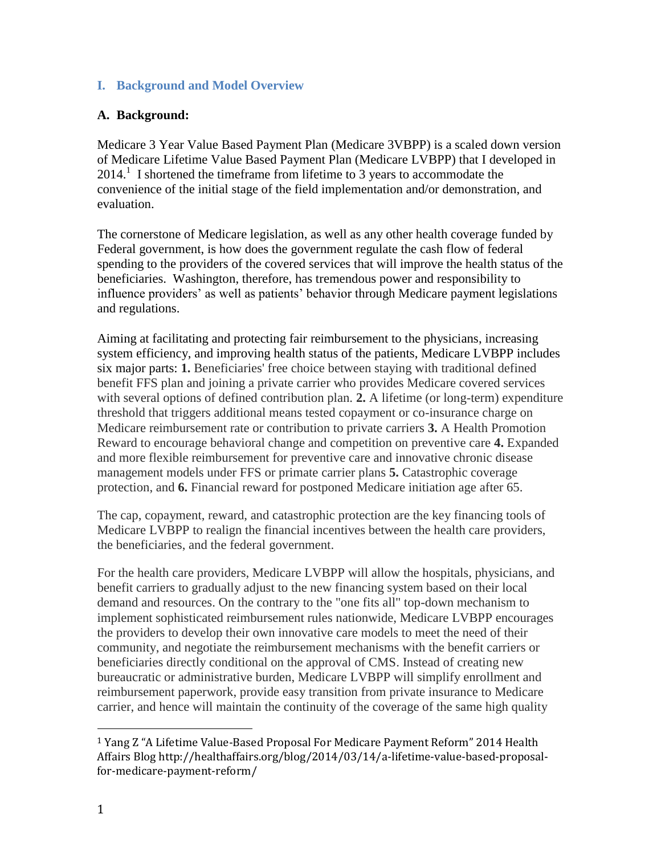#### **I. Background and Model Overview**

#### **A. Background:**

Medicare 3 Year Value Based Payment Plan (Medicare 3VBPP) is a scaled down version of Medicare Lifetime Value Based Payment Plan (Medicare LVBPP) that I developed in  $2014<sup>1</sup>$  I shortened the timeframe from lifetime to 3 years to accommodate the convenience of the initial stage of the field implementation and/or demonstration, and evaluation.

The cornerstone of Medicare legislation, as well as any other health coverage funded by Federal government, is how does the government regulate the cash flow of federal spending to the providers of the covered services that will improve the health status of the beneficiaries. Washington, therefore, has tremendous power and responsibility to influence providers' as well as patients' behavior through Medicare payment legislations and regulations.

Aiming at facilitating and protecting fair reimbursement to the physicians, increasing system efficiency, and improving health status of the patients, Medicare LVBPP includes six major parts: **1.** Beneficiaries' free choice between staying with traditional defined benefit FFS plan and joining a private carrier who provides Medicare covered services with several options of defined contribution plan. **2.** A lifetime (or long-term) expenditure threshold that triggers additional means tested copayment or co-insurance charge on Medicare reimbursement rate or contribution to private carriers **3.** A Health Promotion Reward to encourage behavioral change and competition on preventive care **4.** Expanded and more flexible reimbursement for preventive care and innovative chronic disease management models under FFS or primate carrier plans **5.** Catastrophic coverage protection, and **6.** Financial reward for postponed Medicare initiation age after 65.

The cap, copayment, reward, and catastrophic protection are the key financing tools of Medicare LVBPP to realign the financial incentives between the health care providers, the beneficiaries, and the federal government.

For the health care providers, Medicare LVBPP will allow the hospitals, physicians, and benefit carriers to gradually adjust to the new financing system based on their local demand and resources. On the contrary to the "one fits all" top-down mechanism to implement sophisticated reimbursement rules nationwide, Medicare LVBPP encourages the providers to develop their own innovative care models to meet the need of their community, and negotiate the reimbursement mechanisms with the benefit carriers or beneficiaries directly conditional on the approval of CMS. Instead of creating new bureaucratic or administrative burden, Medicare LVBPP will simplify enrollment and reimbursement paperwork, provide easy transition from private insurance to Medicare carrier, and hence will maintain the continuity of the coverage of the same high quality

<sup>1</sup> Yang Z "A Lifetime Value-Based Proposal For Medicare Payment Reform" 2014 Health Affairs Blog http://healthaffairs.org/blog/2014/03/14/a-lifetime-value-based-proposalfor-medicare-payment-reform/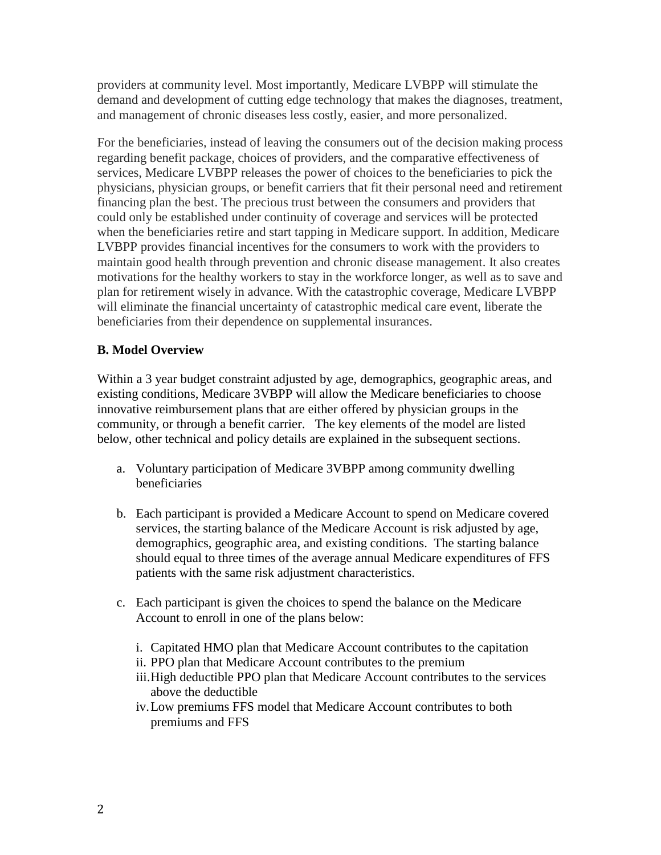providers at community level. Most importantly, Medicare LVBPP will stimulate the demand and development of cutting edge technology that makes the diagnoses, treatment, and management of chronic diseases less costly, easier, and more personalized.

For the beneficiaries, instead of leaving the consumers out of the decision making process regarding benefit package, choices of providers, and the comparative effectiveness of services, Medicare LVBPP releases the power of choices to the beneficiaries to pick the physicians, physician groups, or benefit carriers that fit their personal need and retirement financing plan the best. The precious trust between the consumers and providers that could only be established under continuity of coverage and services will be protected when the beneficiaries retire and start tapping in Medicare support. In addition, Medicare LVBPP provides financial incentives for the consumers to work with the providers to maintain good health through prevention and chronic disease management. It also creates motivations for the healthy workers to stay in the workforce longer, as well as to save and plan for retirement wisely in advance. With the catastrophic coverage, Medicare LVBPP will eliminate the financial uncertainty of catastrophic medical care event, liberate the beneficiaries from their dependence on supplemental insurances.

### **B. Model Overview**

Within a 3 year budget constraint adjusted by age, demographics, geographic areas, and existing conditions, Medicare 3VBPP will allow the Medicare beneficiaries to choose innovative reimbursement plans that are either offered by physician groups in the community, or through a benefit carrier. The key elements of the model are listed below, other technical and policy details are explained in the subsequent sections.

- a. Voluntary participation of Medicare 3VBPP among community dwelling beneficiaries
- b. Each participant is provided a Medicare Account to spend on Medicare covered services, the starting balance of the Medicare Account is risk adjusted by age, demographics, geographic area, and existing conditions. The starting balance should equal to three times of the average annual Medicare expenditures of FFS patients with the same risk adjustment characteristics.
- c. Each participant is given the choices to spend the balance on the Medicare Account to enroll in one of the plans below:
	- i. Capitated HMO plan that Medicare Account contributes to the capitation
	- ii. PPO plan that Medicare Account contributes to the premium
	- iii.High deductible PPO plan that Medicare Account contributes to the services above the deductible
	- iv.Low premiums FFS model that Medicare Account contributes to both premiums and FFS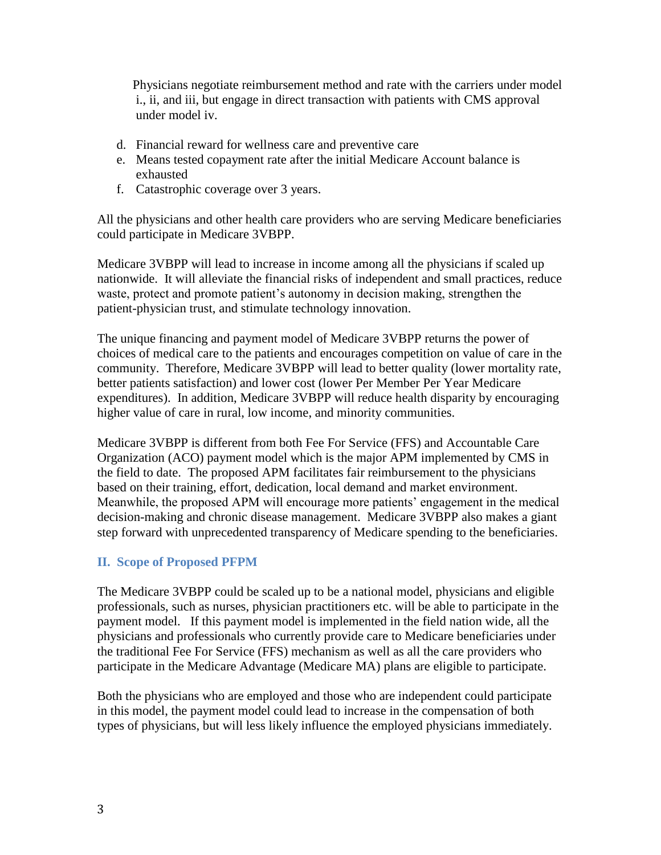Physicians negotiate reimbursement method and rate with the carriers under model i., ii, and iii, but engage in direct transaction with patients with CMS approval under model iv.

- d. Financial reward for wellness care and preventive care
- e. Means tested copayment rate after the initial Medicare Account balance is exhausted
- f. Catastrophic coverage over 3 years.

All the physicians and other health care providers who are serving Medicare beneficiaries could participate in Medicare 3VBPP.

Medicare 3VBPP will lead to increase in income among all the physicians if scaled up nationwide. It will alleviate the financial risks of independent and small practices, reduce waste, protect and promote patient's autonomy in decision making, strengthen the patient-physician trust, and stimulate technology innovation.

The unique financing and payment model of Medicare 3VBPP returns the power of choices of medical care to the patients and encourages competition on value of care in the community. Therefore, Medicare 3VBPP will lead to better quality (lower mortality rate, better patients satisfaction) and lower cost (lower Per Member Per Year Medicare expenditures). In addition, Medicare 3VBPP will reduce health disparity by encouraging higher value of care in rural, low income, and minority communities.

Medicare 3VBPP is different from both Fee For Service (FFS) and Accountable Care Organization (ACO) payment model which is the major APM implemented by CMS in the field to date. The proposed APM facilitates fair reimbursement to the physicians based on their training, effort, dedication, local demand and market environment. Meanwhile, the proposed APM will encourage more patients' engagement in the medical decision-making and chronic disease management. Medicare 3VBPP also makes a giant step forward with unprecedented transparency of Medicare spending to the beneficiaries.

#### **II. Scope of Proposed PFPM**

The Medicare 3VBPP could be scaled up to be a national model, physicians and eligible professionals, such as nurses, physician practitioners etc. will be able to participate in the payment model. If this payment model is implemented in the field nation wide, all the physicians and professionals who currently provide care to Medicare beneficiaries under the traditional Fee For Service (FFS) mechanism as well as all the care providers who participate in the Medicare Advantage (Medicare MA) plans are eligible to participate.

Both the physicians who are employed and those who are independent could participate in this model, the payment model could lead to increase in the compensation of both types of physicians, but will less likely influence the employed physicians immediately.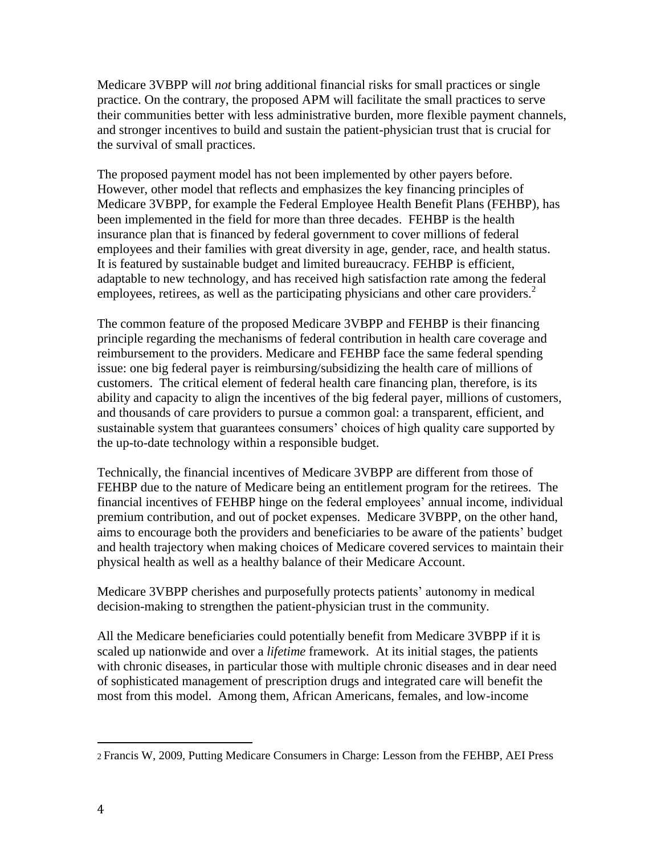Medicare 3VBPP will *not* bring additional financial risks for small practices or single practice. On the contrary, the proposed APM will facilitate the small practices to serve their communities better with less administrative burden, more flexible payment channels, and stronger incentives to build and sustain the patient-physician trust that is crucial for the survival of small practices.

The proposed payment model has not been implemented by other payers before. However, other model that reflects and emphasizes the key financing principles of Medicare 3VBPP, for example the Federal Employee Health Benefit Plans (FEHBP), has been implemented in the field for more than three decades. FEHBP is the health insurance plan that is financed by federal government to cover millions of federal employees and their families with great diversity in age, gender, race, and health status. It is featured by sustainable budget and limited bureaucracy. FEHBP is efficient, adaptable to new technology, and has received high satisfaction rate among the federal employees, retirees, as well as the participating physicians and other care providers.<sup>2</sup>

The common feature of the proposed Medicare 3VBPP and FEHBP is their financing principle regarding the mechanisms of federal contribution in health care coverage and reimbursement to the providers. Medicare and FEHBP face the same federal spending issue: one big federal payer is reimbursing/subsidizing the health care of millions of customers. The critical element of federal health care financing plan, therefore, is its ability and capacity to align the incentives of the big federal payer, millions of customers, and thousands of care providers to pursue a common goal: a transparent, efficient, and sustainable system that guarantees consumers' choices of high quality care supported by the up-to-date technology within a responsible budget.

Technically, the financial incentives of Medicare 3VBPP are different from those of FEHBP due to the nature of Medicare being an entitlement program for the retirees. The financial incentives of FEHBP hinge on the federal employees' annual income, individual premium contribution, and out of pocket expenses. Medicare 3VBPP, on the other hand, aims to encourage both the providers and beneficiaries to be aware of the patients' budget and health trajectory when making choices of Medicare covered services to maintain their physical health as well as a healthy balance of their Medicare Account.

Medicare 3VBPP cherishes and purposefully protects patients' autonomy in medical decision-making to strengthen the patient-physician trust in the community.

All the Medicare beneficiaries could potentially benefit from Medicare 3VBPP if it is scaled up nationwide and over a *lifetime* framework. At its initial stages, the patients with chronic diseases, in particular those with multiple chronic diseases and in dear need of sophisticated management of prescription drugs and integrated care will benefit the most from this model. Among them, African Americans, females, and low-income

l

<sup>2</sup> Francis W, 2009, Putting Medicare Consumers in Charge: Lesson from the FEHBP, AEI Press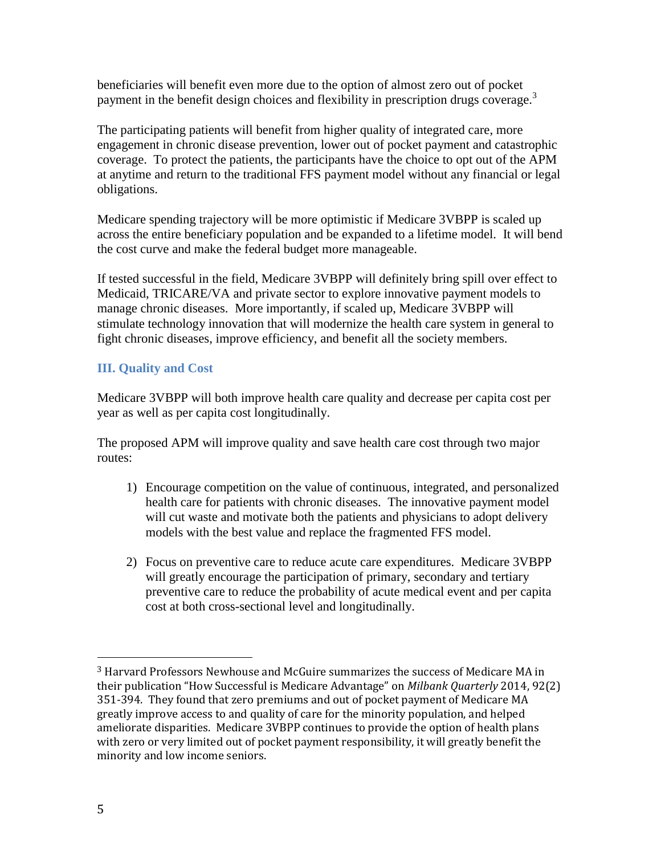beneficiaries will benefit even more due to the option of almost zero out of pocket payment in the benefit design choices and flexibility in prescription drugs coverage.<sup>3</sup>

The participating patients will benefit from higher quality of integrated care, more engagement in chronic disease prevention, lower out of pocket payment and catastrophic coverage. To protect the patients, the participants have the choice to opt out of the APM at anytime and return to the traditional FFS payment model without any financial or legal obligations.

Medicare spending trajectory will be more optimistic if Medicare 3VBPP is scaled up across the entire beneficiary population and be expanded to a lifetime model. It will bend the cost curve and make the federal budget more manageable.

If tested successful in the field, Medicare 3VBPP will definitely bring spill over effect to Medicaid, TRICARE/VA and private sector to explore innovative payment models to manage chronic diseases. More importantly, if scaled up, Medicare 3VBPP will stimulate technology innovation that will modernize the health care system in general to fight chronic diseases, improve efficiency, and benefit all the society members.

# **III. Quality and Cost**

Medicare 3VBPP will both improve health care quality and decrease per capita cost per year as well as per capita cost longitudinally.

The proposed APM will improve quality and save health care cost through two major routes:

- 1) Encourage competition on the value of continuous, integrated, and personalized health care for patients with chronic diseases. The innovative payment model will cut waste and motivate both the patients and physicians to adopt delivery models with the best value and replace the fragmented FFS model.
- 2) Focus on preventive care to reduce acute care expenditures. Medicare 3VBPP will greatly encourage the participation of primary, secondary and tertiary preventive care to reduce the probability of acute medical event and per capita cost at both cross-sectional level and longitudinally.

<sup>3</sup> Harvard Professors Newhouse and McGuire summarizes the success of Medicare MA in their publication "How Successful is Medicare Advantage" on *Milbank Quarterly* 2014, 92(2) 351-394. They found that zero premiums and out of pocket payment of Medicare MA greatly improve access to and quality of care for the minority population, and helped ameliorate disparities. Medicare 3VBPP continues to provide the option of health plans with zero or very limited out of pocket payment responsibility, it will greatly benefit the minority and low income seniors.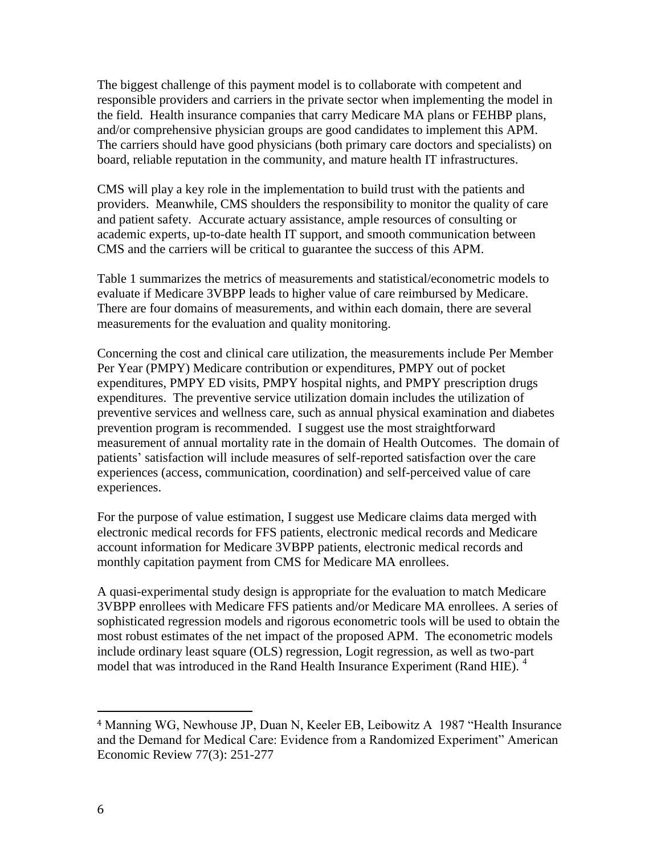The biggest challenge of this payment model is to collaborate with competent and responsible providers and carriers in the private sector when implementing the model in the field. Health insurance companies that carry Medicare MA plans or FEHBP plans, and/or comprehensive physician groups are good candidates to implement this APM. The carriers should have good physicians (both primary care doctors and specialists) on board, reliable reputation in the community, and mature health IT infrastructures.

CMS will play a key role in the implementation to build trust with the patients and providers. Meanwhile, CMS shoulders the responsibility to monitor the quality of care and patient safety. Accurate actuary assistance, ample resources of consulting or academic experts, up-to-date health IT support, and smooth communication between CMS and the carriers will be critical to guarantee the success of this APM.

Table 1 summarizes the metrics of measurements and statistical/econometric models to evaluate if Medicare 3VBPP leads to higher value of care reimbursed by Medicare. There are four domains of measurements, and within each domain, there are several measurements for the evaluation and quality monitoring.

Concerning the cost and clinical care utilization, the measurements include Per Member Per Year (PMPY) Medicare contribution or expenditures, PMPY out of pocket expenditures, PMPY ED visits, PMPY hospital nights, and PMPY prescription drugs expenditures. The preventive service utilization domain includes the utilization of preventive services and wellness care, such as annual physical examination and diabetes prevention program is recommended. I suggest use the most straightforward measurement of annual mortality rate in the domain of Health Outcomes. The domain of patients' satisfaction will include measures of self-reported satisfaction over the care experiences (access, communication, coordination) and self-perceived value of care experiences.

For the purpose of value estimation, I suggest use Medicare claims data merged with electronic medical records for FFS patients, electronic medical records and Medicare account information for Medicare 3VBPP patients, electronic medical records and monthly capitation payment from CMS for Medicare MA enrollees.

A quasi-experimental study design is appropriate for the evaluation to match Medicare 3VBPP enrollees with Medicare FFS patients and/or Medicare MA enrollees. A series of sophisticated regression models and rigorous econometric tools will be used to obtain the most robust estimates of the net impact of the proposed APM. The econometric models include ordinary least square (OLS) regression, Logit regression, as well as two-part model that was introduced in the Rand Health Insurance Experiment (Rand HIE). <sup>4</sup>

<sup>4</sup> Manning WG, Newhouse JP, Duan N, Keeler EB, Leibowitz A 1987 "Health Insurance and the Demand for Medical Care: Evidence from a Randomized Experiment" American Economic Review 77(3): 251-277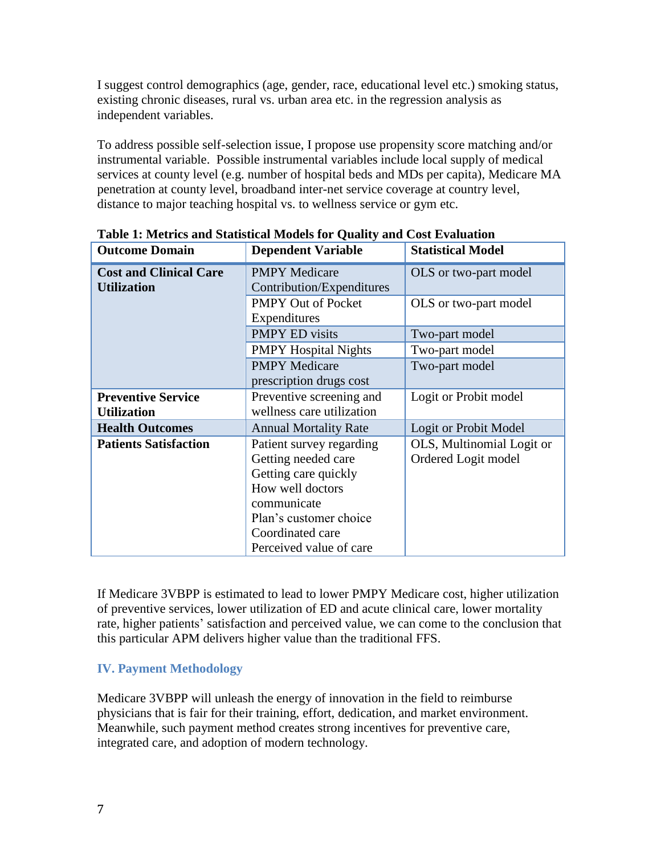I suggest control demographics (age, gender, race, educational level etc.) smoking status, existing chronic diseases, rural vs. urban area etc. in the regression analysis as independent variables.

To address possible self-selection issue, I propose use propensity score matching and/or instrumental variable. Possible instrumental variables include local supply of medical services at county level (e.g. number of hospital beds and MDs per capita), Medicare MA penetration at county level, broadband inter-net service coverage at country level, distance to major teaching hospital vs. to wellness service or gym etc.

| <b>Outcome Domain</b>                               | <b>Dependent Variable</b>                                                                                                                                                           | <b>Statistical Model</b>                         |  |
|-----------------------------------------------------|-------------------------------------------------------------------------------------------------------------------------------------------------------------------------------------|--------------------------------------------------|--|
| <b>Cost and Clinical Care</b><br><b>Utilization</b> | <b>PMPY Medicare</b><br>Contribution/Expenditures                                                                                                                                   | OLS or two-part model                            |  |
|                                                     | <b>PMPY Out of Pocket</b><br>Expenditures                                                                                                                                           | OLS or two-part model                            |  |
|                                                     | <b>PMPY ED visits</b>                                                                                                                                                               | Two-part model                                   |  |
|                                                     | <b>PMPY Hospital Nights</b>                                                                                                                                                         | Two-part model                                   |  |
|                                                     | <b>PMPY Medicare</b><br>prescription drugs cost                                                                                                                                     | Two-part model                                   |  |
| <b>Preventive Service</b>                           | Preventive screening and                                                                                                                                                            | Logit or Probit model                            |  |
| <b>Utilization</b>                                  | wellness care utilization                                                                                                                                                           |                                                  |  |
| <b>Health Outcomes</b>                              | <b>Annual Mortality Rate</b>                                                                                                                                                        | Logit or Probit Model                            |  |
| <b>Patients Satisfaction</b>                        | Patient survey regarding<br>Getting needed care<br>Getting care quickly<br>How well doctors<br>communicate<br>Plan's customer choice<br>Coordinated care<br>Perceived value of care | OLS, Multinomial Logit or<br>Ordered Logit model |  |

**Table 1: Metrics and Statistical Models for Quality and Cost Evaluation**

If Medicare 3VBPP is estimated to lead to lower PMPY Medicare cost, higher utilization of preventive services, lower utilization of ED and acute clinical care, lower mortality rate, higher patients' satisfaction and perceived value, we can come to the conclusion that this particular APM delivers higher value than the traditional FFS.

# **IV. Payment Methodology**

Medicare 3VBPP will unleash the energy of innovation in the field to reimburse physicians that is fair for their training, effort, dedication, and market environment. Meanwhile, such payment method creates strong incentives for preventive care, integrated care, and adoption of modern technology.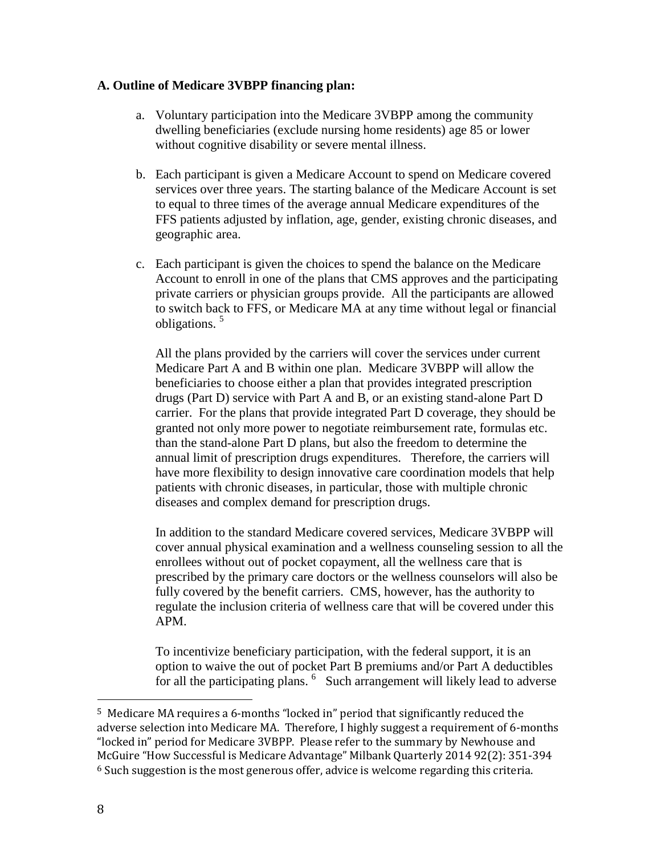#### **A. Outline of Medicare 3VBPP financing plan:**

- a. Voluntary participation into the Medicare 3VBPP among the community dwelling beneficiaries (exclude nursing home residents) age 85 or lower without cognitive disability or severe mental illness.
- b. Each participant is given a Medicare Account to spend on Medicare covered services over three years. The starting balance of the Medicare Account is set to equal to three times of the average annual Medicare expenditures of the FFS patients adjusted by inflation, age, gender, existing chronic diseases, and geographic area.
- c. Each participant is given the choices to spend the balance on the Medicare Account to enroll in one of the plans that CMS approves and the participating private carriers or physician groups provide. All the participants are allowed to switch back to FFS, or Medicare MA at any time without legal or financial obligations. 5

All the plans provided by the carriers will cover the services under current Medicare Part A and B within one plan. Medicare 3VBPP will allow the beneficiaries to choose either a plan that provides integrated prescription drugs (Part D) service with Part A and B, or an existing stand-alone Part D carrier. For the plans that provide integrated Part D coverage, they should be granted not only more power to negotiate reimbursement rate, formulas etc. than the stand-alone Part D plans, but also the freedom to determine the annual limit of prescription drugs expenditures. Therefore, the carriers will have more flexibility to design innovative care coordination models that help patients with chronic diseases, in particular, those with multiple chronic diseases and complex demand for prescription drugs.

In addition to the standard Medicare covered services, Medicare 3VBPP will cover annual physical examination and a wellness counseling session to all the enrollees without out of pocket copayment, all the wellness care that is prescribed by the primary care doctors or the wellness counselors will also be fully covered by the benefit carriers. CMS, however, has the authority to regulate the inclusion criteria of wellness care that will be covered under this APM.

To incentivize beneficiary participation, with the federal support, it is an option to waive the out of pocket Part B premiums and/or Part A deductibles for all the participating plans. <sup>6</sup> Such arrangement will likely lead to adverse

<sup>5</sup> Medicare MA requires a 6-months "locked in" period that significantly reduced the adverse selection into Medicare MA. Therefore, I highly suggest a requirement of 6-months "locked in" period for Medicare 3VBPP. Please refer to the summary by Newhouse and McGuire "How Successful is Medicare Advantage" Milbank Quarterly 2014 92(2): 351-394  $6$  Such suggestion is the most generous offer, advice is welcome regarding this criteria.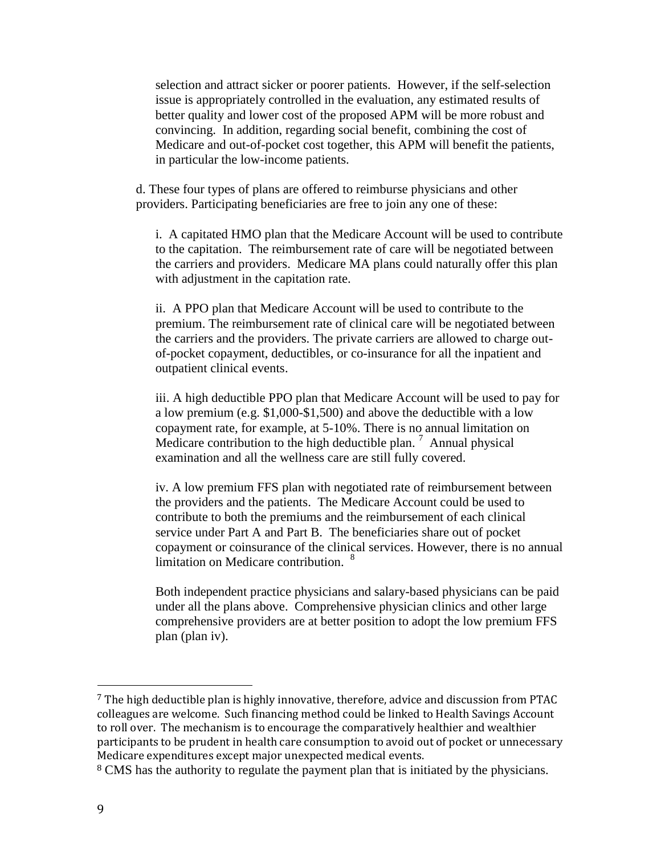selection and attract sicker or poorer patients. However, if the self-selection issue is appropriately controlled in the evaluation, any estimated results of better quality and lower cost of the proposed APM will be more robust and convincing. In addition, regarding social benefit, combining the cost of Medicare and out-of-pocket cost together, this APM will benefit the patients, in particular the low-income patients.

d. These four types of plans are offered to reimburse physicians and other providers. Participating beneficiaries are free to join any one of these:

i. A capitated HMO plan that the Medicare Account will be used to contribute to the capitation. The reimbursement rate of care will be negotiated between the carriers and providers. Medicare MA plans could naturally offer this plan with adjustment in the capitation rate.

ii. A PPO plan that Medicare Account will be used to contribute to the premium. The reimbursement rate of clinical care will be negotiated between the carriers and the providers. The private carriers are allowed to charge outof-pocket copayment, deductibles, or co-insurance for all the inpatient and outpatient clinical events.

iii. A high deductible PPO plan that Medicare Account will be used to pay for a low premium (e.g. \$1,000-\$1,500) and above the deductible with a low copayment rate, for example, at 5-10%. There is no annual limitation on Medicare contribution to the high deductible plan.  $\frac{7}{7}$  Annual physical examination and all the wellness care are still fully covered.

iv. A low premium FFS plan with negotiated rate of reimbursement between the providers and the patients. The Medicare Account could be used to contribute to both the premiums and the reimbursement of each clinical service under Part A and Part B. The beneficiaries share out of pocket copayment or coinsurance of the clinical services. However, there is no annual limitation on Medicare contribution. <sup>8</sup>

Both independent practice physicians and salary-based physicians can be paid under all the plans above. Comprehensive physician clinics and other large comprehensive providers are at better position to adopt the low premium FFS plan (plan iv).

<sup>7</sup> The high deductible plan is highly innovative, therefore, advice and discussion from PTAC colleagues are welcome. Such financing method could be linked to Health Savings Account to roll over. The mechanism is to encourage the comparatively healthier and wealthier participants to be prudent in health care consumption to avoid out of pocket or unnecessary Medicare expenditures except major unexpected medical events.

<sup>&</sup>lt;sup>8</sup> CMS has the authority to regulate the payment plan that is initiated by the physicians.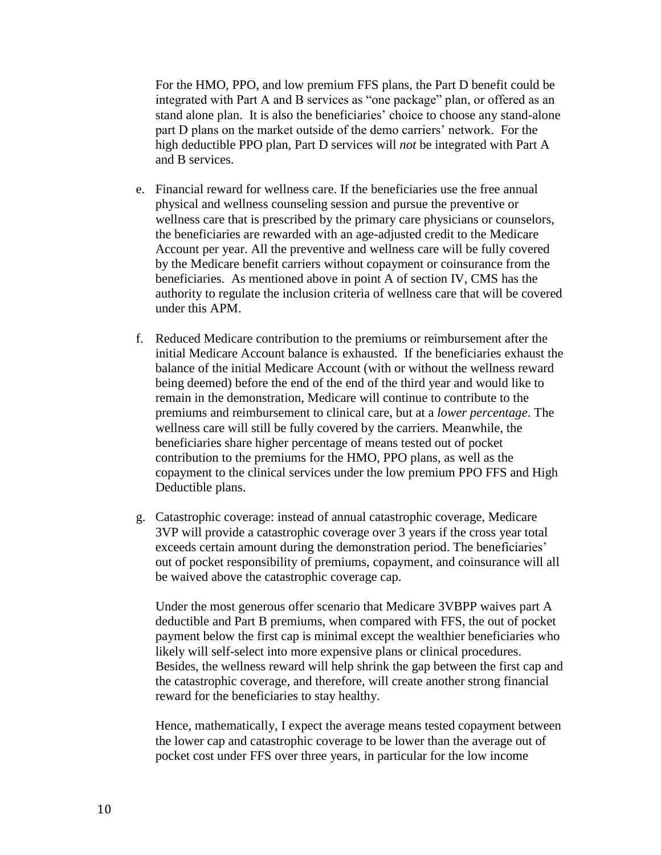For the HMO, PPO, and low premium FFS plans, the Part D benefit could be integrated with Part A and B services as "one package" plan, or offered as an stand alone plan. It is also the beneficiaries' choice to choose any stand-alone part D plans on the market outside of the demo carriers' network. For the high deductible PPO plan, Part D services will *not* be integrated with Part A and B services.

- e. Financial reward for wellness care. If the beneficiaries use the free annual physical and wellness counseling session and pursue the preventive or wellness care that is prescribed by the primary care physicians or counselors, the beneficiaries are rewarded with an age-adjusted credit to the Medicare Account per year. All the preventive and wellness care will be fully covered by the Medicare benefit carriers without copayment or coinsurance from the beneficiaries. As mentioned above in point A of section IV, CMS has the authority to regulate the inclusion criteria of wellness care that will be covered under this APM.
- f. Reduced Medicare contribution to the premiums or reimbursement after the initial Medicare Account balance is exhausted. If the beneficiaries exhaust the balance of the initial Medicare Account (with or without the wellness reward being deemed) before the end of the end of the third year and would like to remain in the demonstration, Medicare will continue to contribute to the premiums and reimbursement to clinical care, but at a *lower percentage*. The wellness care will still be fully covered by the carriers. Meanwhile, the beneficiaries share higher percentage of means tested out of pocket contribution to the premiums for the HMO, PPO plans, as well as the copayment to the clinical services under the low premium PPO FFS and High Deductible plans.
- g. Catastrophic coverage: instead of annual catastrophic coverage, Medicare 3VP will provide a catastrophic coverage over 3 years if the cross year total exceeds certain amount during the demonstration period. The beneficiaries' out of pocket responsibility of premiums, copayment, and coinsurance will all be waived above the catastrophic coverage cap.

Under the most generous offer scenario that Medicare 3VBPP waives part A deductible and Part B premiums, when compared with FFS, the out of pocket payment below the first cap is minimal except the wealthier beneficiaries who likely will self-select into more expensive plans or clinical procedures. Besides, the wellness reward will help shrink the gap between the first cap and the catastrophic coverage, and therefore, will create another strong financial reward for the beneficiaries to stay healthy.

Hence, mathematically, I expect the average means tested copayment between the lower cap and catastrophic coverage to be lower than the average out of pocket cost under FFS over three years, in particular for the low income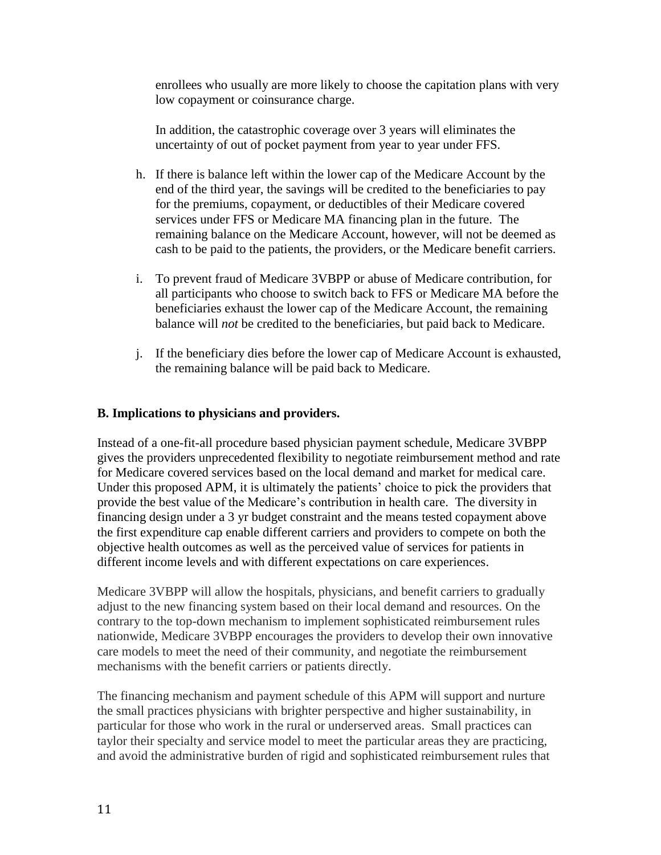enrollees who usually are more likely to choose the capitation plans with very low copayment or coinsurance charge.

In addition, the catastrophic coverage over 3 years will eliminates the uncertainty of out of pocket payment from year to year under FFS.

- h. If there is balance left within the lower cap of the Medicare Account by the end of the third year, the savings will be credited to the beneficiaries to pay for the premiums, copayment, or deductibles of their Medicare covered services under FFS or Medicare MA financing plan in the future. The remaining balance on the Medicare Account, however, will not be deemed as cash to be paid to the patients, the providers, or the Medicare benefit carriers.
- i. To prevent fraud of Medicare 3VBPP or abuse of Medicare contribution, for all participants who choose to switch back to FFS or Medicare MA before the beneficiaries exhaust the lower cap of the Medicare Account, the remaining balance will *not* be credited to the beneficiaries, but paid back to Medicare.
- j. If the beneficiary dies before the lower cap of Medicare Account is exhausted, the remaining balance will be paid back to Medicare.

### **B. Implications to physicians and providers.**

Instead of a one-fit-all procedure based physician payment schedule, Medicare 3VBPP gives the providers unprecedented flexibility to negotiate reimbursement method and rate for Medicare covered services based on the local demand and market for medical care. Under this proposed APM, it is ultimately the patients' choice to pick the providers that provide the best value of the Medicare's contribution in health care. The diversity in financing design under a 3 yr budget constraint and the means tested copayment above the first expenditure cap enable different carriers and providers to compete on both the objective health outcomes as well as the perceived value of services for patients in different income levels and with different expectations on care experiences.

Medicare 3VBPP will allow the hospitals, physicians, and benefit carriers to gradually adjust to the new financing system based on their local demand and resources. On the contrary to the top-down mechanism to implement sophisticated reimbursement rules nationwide, Medicare 3VBPP encourages the providers to develop their own innovative care models to meet the need of their community, and negotiate the reimbursement mechanisms with the benefit carriers or patients directly.

The financing mechanism and payment schedule of this APM will support and nurture the small practices physicians with brighter perspective and higher sustainability, in particular for those who work in the rural or underserved areas. Small practices can taylor their specialty and service model to meet the particular areas they are practicing, and avoid the administrative burden of rigid and sophisticated reimbursement rules that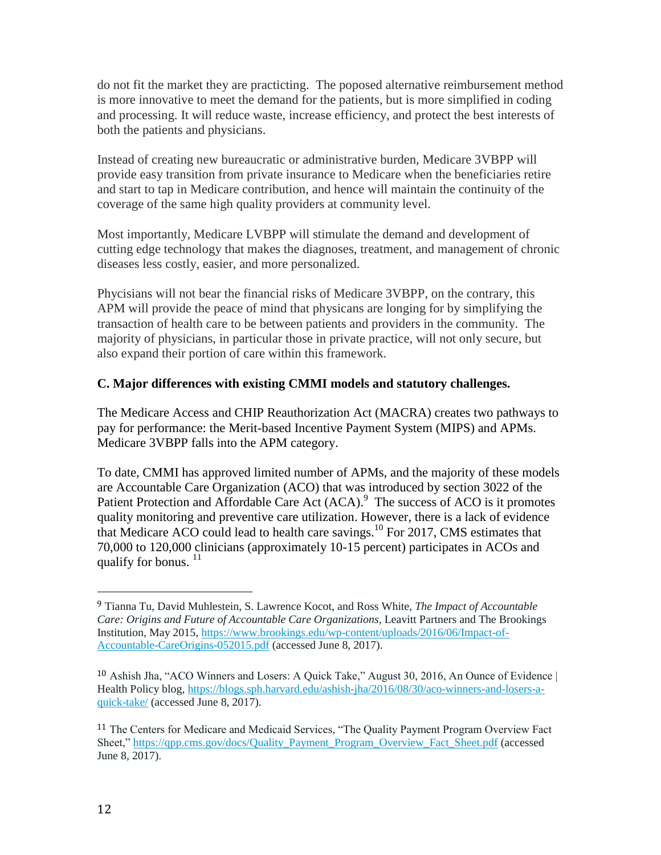do not fit the market they are practicting. The poposed alternative reimbursement method is more innovative to meet the demand for the patients, but is more simplified in coding and processing. It will reduce waste, increase efficiency, and protect the best interests of both the patients and physicians.

Instead of creating new bureaucratic or administrative burden, Medicare 3VBPP will provide easy transition from private insurance to Medicare when the beneficiaries retire and start to tap in Medicare contribution, and hence will maintain the continuity of the coverage of the same high quality providers at community level.

Most importantly, Medicare LVBPP will stimulate the demand and development of cutting edge technology that makes the diagnoses, treatment, and management of chronic diseases less costly, easier, and more personalized.

Phycisians will not bear the financial risks of Medicare 3VBPP, on the contrary, this APM will provide the peace of mind that physicans are longing for by simplifying the transaction of health care to be between patients and providers in the community. The majority of physicians, in particular those in private practice, will not only secure, but also expand their portion of care within this framework.

### **C. Major differences with existing CMMI models and statutory challenges.**

The Medicare Access and CHIP Reauthorization Act (MACRA) creates two pathways to pay for performance: the Merit-based Incentive Payment System (MIPS) and APMs. Medicare 3VBPP falls into the APM category.

To date, CMMI has approved limited number of APMs, and the majority of these models are Accountable Care Organization (ACO) that was introduced by section 3022 of the Patient Protection and Affordable Care Act (ACA).<sup>9</sup> The success of ACO is it promotes quality monitoring and preventive care utilization. However, there is a lack of evidence that Medicare ACO could lead to health care savings.<sup>10</sup> For 2017, CMS estimates that 70,000 to 120,000 clinicians (approximately 10-15 percent) participates in ACOs and qualify for bonus.  $11$ 

<sup>9</sup> Tianna Tu, David Muhlestein, S. Lawrence Kocot, and Ross White*, The Impact of Accountable Care: Origins and Future of Accountable Care Organizations*, Leavitt Partners and The Brookings Institution, May 2015, [https://www.brookings.edu/wp-content/uploads/2016/06/Impact-of-](https://www.brookings.edu/wp-content/uploads/2016/06/Impact-of-Accountable-CareOrigins-052015.pdf)[Accountable-CareOrigins-052015.pdf](https://www.brookings.edu/wp-content/uploads/2016/06/Impact-of-Accountable-CareOrigins-052015.pdf) (accessed June 8, 2017).

<sup>10</sup> Ashish Jha, "ACO Winners and Losers: A Quick Take," August 30, 2016, An Ounce of Evidence | Health Policy blog, [https://blogs.sph.harvard.edu/ashish-jha/2016/08/30/aco-winners-and-losers-a](https://blogs.sph.harvard.edu/ashish-jha/2016/08/30/aco-winners-and-losers-a-quick-take/)[quick-take/](https://blogs.sph.harvard.edu/ashish-jha/2016/08/30/aco-winners-and-losers-a-quick-take/) (accessed June 8, 2017).

<sup>&</sup>lt;sup>11</sup> The Centers for Medicare and Medicaid Services, "The Quality Payment Program Overview Fact Sheet," [https://qpp.cms.gov/docs/Quality\\_Payment\\_Program\\_Overview\\_Fact\\_Sheet.pdf](https://qpp.cms.gov/docs/Quality_Payment_Program_Overview_Fact_Sheet.pdf) (accessed June 8, 2017).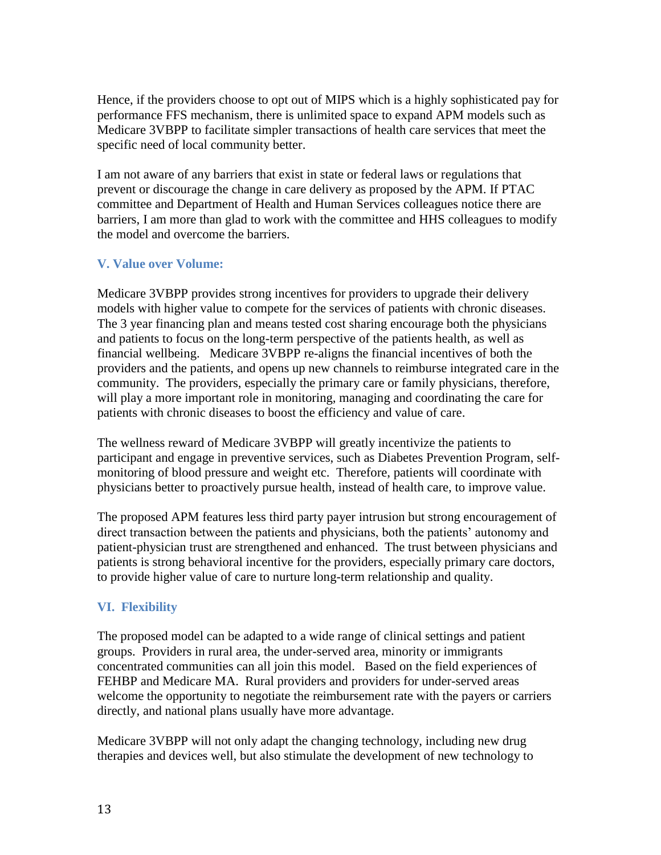Hence, if the providers choose to opt out of MIPS which is a highly sophisticated pay for performance FFS mechanism, there is unlimited space to expand APM models such as Medicare 3VBPP to facilitate simpler transactions of health care services that meet the specific need of local community better.

I am not aware of any barriers that exist in state or federal laws or regulations that prevent or discourage the change in care delivery as proposed by the APM. If PTAC committee and Department of Health and Human Services colleagues notice there are barriers, I am more than glad to work with the committee and HHS colleagues to modify the model and overcome the barriers.

### **V. Value over Volume:**

Medicare 3VBPP provides strong incentives for providers to upgrade their delivery models with higher value to compete for the services of patients with chronic diseases. The 3 year financing plan and means tested cost sharing encourage both the physicians and patients to focus on the long-term perspective of the patients health, as well as financial wellbeing. Medicare 3VBPP re-aligns the financial incentives of both the providers and the patients, and opens up new channels to reimburse integrated care in the community. The providers, especially the primary care or family physicians, therefore, will play a more important role in monitoring, managing and coordinating the care for patients with chronic diseases to boost the efficiency and value of care.

The wellness reward of Medicare 3VBPP will greatly incentivize the patients to participant and engage in preventive services, such as Diabetes Prevention Program, selfmonitoring of blood pressure and weight etc. Therefore, patients will coordinate with physicians better to proactively pursue health, instead of health care, to improve value.

The proposed APM features less third party payer intrusion but strong encouragement of direct transaction between the patients and physicians, both the patients' autonomy and patient-physician trust are strengthened and enhanced. The trust between physicians and patients is strong behavioral incentive for the providers, especially primary care doctors, to provide higher value of care to nurture long-term relationship and quality.

# **VI. Flexibility**

The proposed model can be adapted to a wide range of clinical settings and patient groups. Providers in rural area, the under-served area, minority or immigrants concentrated communities can all join this model. Based on the field experiences of FEHBP and Medicare MA. Rural providers and providers for under-served areas welcome the opportunity to negotiate the reimbursement rate with the payers or carriers directly, and national plans usually have more advantage.

Medicare 3VBPP will not only adapt the changing technology, including new drug therapies and devices well, but also stimulate the development of new technology to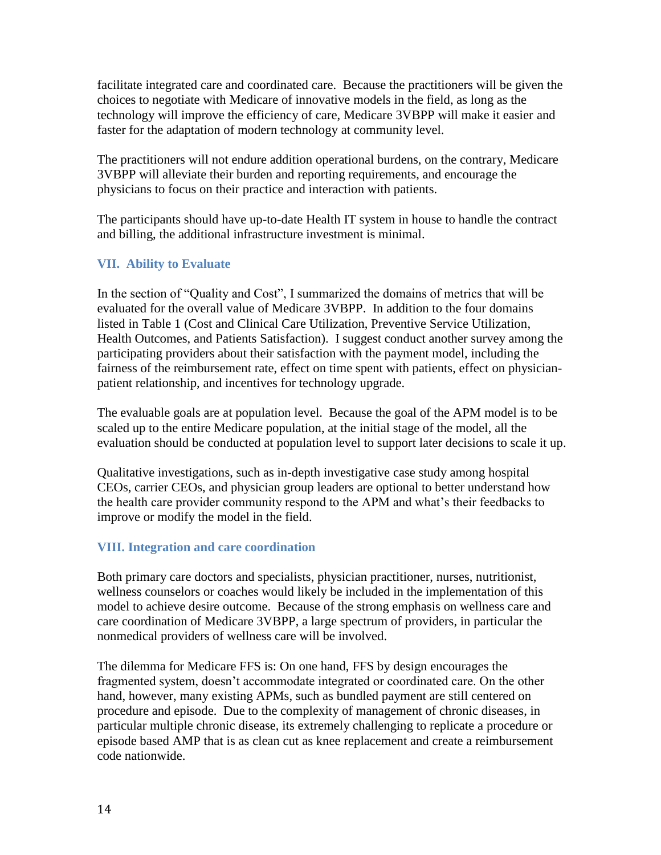facilitate integrated care and coordinated care. Because the practitioners will be given the choices to negotiate with Medicare of innovative models in the field, as long as the technology will improve the efficiency of care, Medicare 3VBPP will make it easier and faster for the adaptation of modern technology at community level.

The practitioners will not endure addition operational burdens, on the contrary, Medicare 3VBPP will alleviate their burden and reporting requirements, and encourage the physicians to focus on their practice and interaction with patients.

The participants should have up-to-date Health IT system in house to handle the contract and billing, the additional infrastructure investment is minimal.

### **VII. Ability to Evaluate**

In the section of "Quality and Cost", I summarized the domains of metrics that will be evaluated for the overall value of Medicare 3VBPP. In addition to the four domains listed in Table 1 (Cost and Clinical Care Utilization, Preventive Service Utilization, Health Outcomes, and Patients Satisfaction). I suggest conduct another survey among the participating providers about their satisfaction with the payment model, including the fairness of the reimbursement rate, effect on time spent with patients, effect on physicianpatient relationship, and incentives for technology upgrade.

The evaluable goals are at population level. Because the goal of the APM model is to be scaled up to the entire Medicare population, at the initial stage of the model, all the evaluation should be conducted at population level to support later decisions to scale it up.

Qualitative investigations, such as in-depth investigative case study among hospital CEOs, carrier CEOs, and physician group leaders are optional to better understand how the health care provider community respond to the APM and what's their feedbacks to improve or modify the model in the field.

#### **VIII. Integration and care coordination**

Both primary care doctors and specialists, physician practitioner, nurses, nutritionist, wellness counselors or coaches would likely be included in the implementation of this model to achieve desire outcome. Because of the strong emphasis on wellness care and care coordination of Medicare 3VBPP, a large spectrum of providers, in particular the nonmedical providers of wellness care will be involved.

The dilemma for Medicare FFS is: On one hand, FFS by design encourages the fragmented system, doesn't accommodate integrated or coordinated care. On the other hand, however, many existing APMs, such as bundled payment are still centered on procedure and episode. Due to the complexity of management of chronic diseases, in particular multiple chronic disease, its extremely challenging to replicate a procedure or episode based AMP that is as clean cut as knee replacement and create a reimbursement code nationwide.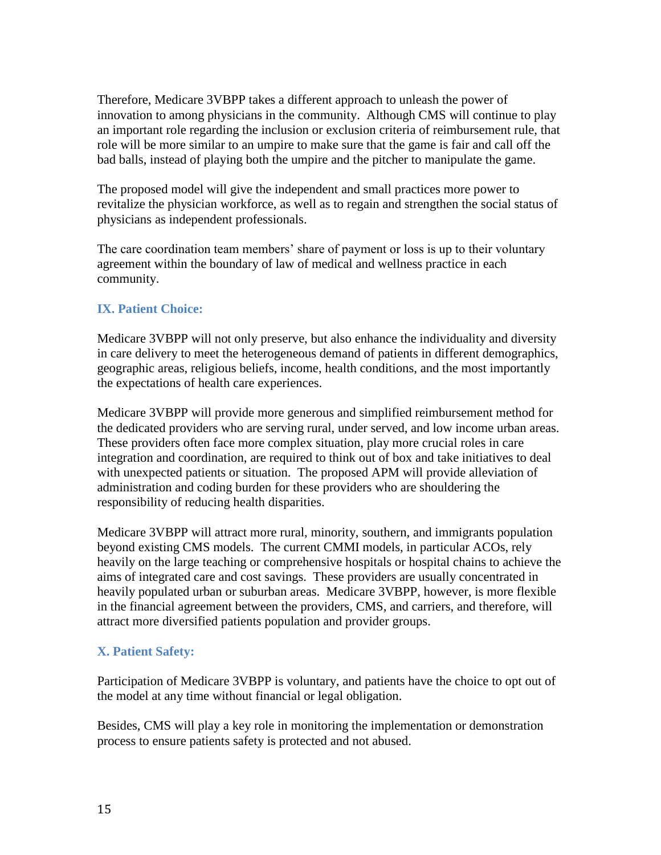Therefore, Medicare 3VBPP takes a different approach to unleash the power of innovation to among physicians in the community. Although CMS will continue to play an important role regarding the inclusion or exclusion criteria of reimbursement rule, that role will be more similar to an umpire to make sure that the game is fair and call off the bad balls, instead of playing both the umpire and the pitcher to manipulate the game.

The proposed model will give the independent and small practices more power to revitalize the physician workforce, as well as to regain and strengthen the social status of physicians as independent professionals.

The care coordination team members' share of payment or loss is up to their voluntary agreement within the boundary of law of medical and wellness practice in each community.

#### **IX. Patient Choice:**

Medicare 3VBPP will not only preserve, but also enhance the individuality and diversity in care delivery to meet the heterogeneous demand of patients in different demographics, geographic areas, religious beliefs, income, health conditions, and the most importantly the expectations of health care experiences.

Medicare 3VBPP will provide more generous and simplified reimbursement method for the dedicated providers who are serving rural, under served, and low income urban areas. These providers often face more complex situation, play more crucial roles in care integration and coordination, are required to think out of box and take initiatives to deal with unexpected patients or situation. The proposed APM will provide alleviation of administration and coding burden for these providers who are shouldering the responsibility of reducing health disparities.

Medicare 3VBPP will attract more rural, minority, southern, and immigrants population beyond existing CMS models. The current CMMI models, in particular ACOs, rely heavily on the large teaching or comprehensive hospitals or hospital chains to achieve the aims of integrated care and cost savings. These providers are usually concentrated in heavily populated urban or suburban areas. Medicare 3VBPP, however, is more flexible in the financial agreement between the providers, CMS, and carriers, and therefore, will attract more diversified patients population and provider groups.

# **X. Patient Safety:**

Participation of Medicare 3VBPP is voluntary, and patients have the choice to opt out of the model at any time without financial or legal obligation.

Besides, CMS will play a key role in monitoring the implementation or demonstration process to ensure patients safety is protected and not abused.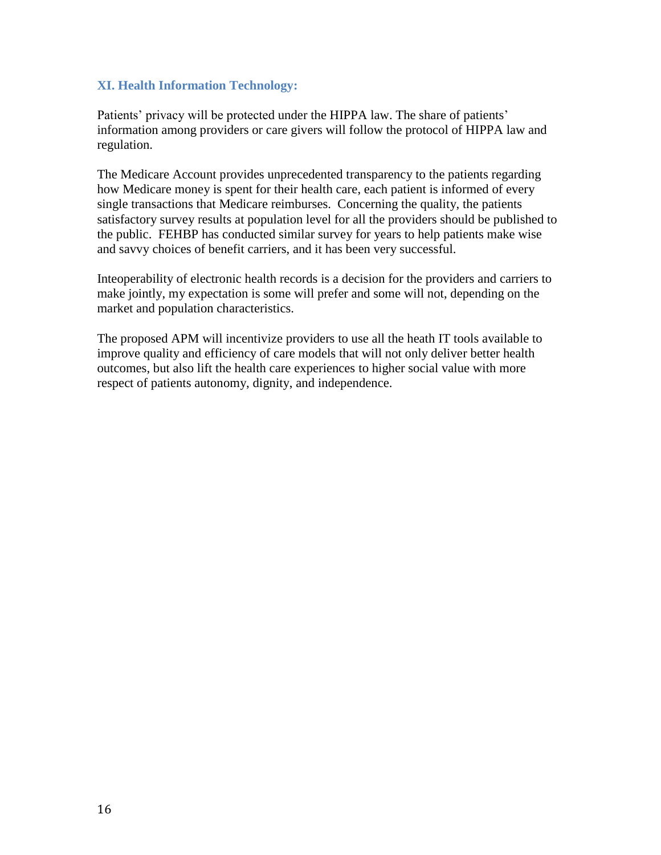#### **XI. Health Information Technology:**

Patients' privacy will be protected under the HIPPA law. The share of patients' information among providers or care givers will follow the protocol of HIPPA law and regulation.

The Medicare Account provides unprecedented transparency to the patients regarding how Medicare money is spent for their health care, each patient is informed of every single transactions that Medicare reimburses. Concerning the quality, the patients satisfactory survey results at population level for all the providers should be published to the public. FEHBP has conducted similar survey for years to help patients make wise and savvy choices of benefit carriers, and it has been very successful.

Inteoperability of electronic health records is a decision for the providers and carriers to make jointly, my expectation is some will prefer and some will not, depending on the market and population characteristics.

The proposed APM will incentivize providers to use all the heath IT tools available to improve quality and efficiency of care models that will not only deliver better health outcomes, but also lift the health care experiences to higher social value with more respect of patients autonomy, dignity, and independence.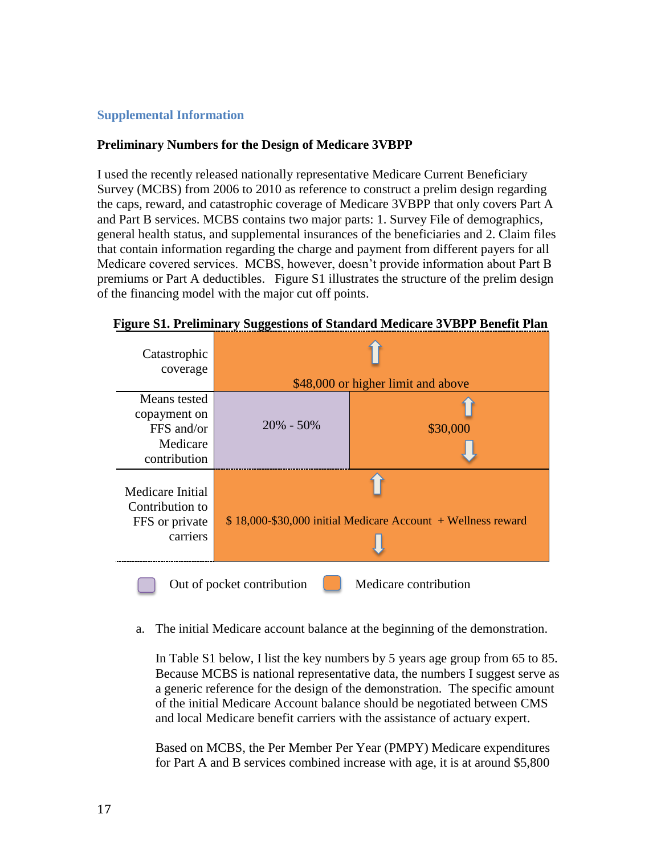#### **Supplemental Information**

#### **Preliminary Numbers for the Design of Medicare 3VBPP**

I used the recently released nationally representative Medicare Current Beneficiary Survey (MCBS) from 2006 to 2010 as reference to construct a prelim design regarding the caps, reward, and catastrophic coverage of Medicare 3VBPP that only covers Part A and Part B services. MCBS contains two major parts: 1. Survey File of demographics, general health status, and supplemental insurances of the beneficiaries and 2. Claim files that contain information regarding the charge and payment from different payers for all Medicare covered services. MCBS, however, doesn't provide information about Part B premiums or Part A deductibles. Figure S1 illustrates the structure of the prelim design of the financing model with the major cut off points.

| Catastrophic<br>coverage                                          | \$48,000 or higher limit and above                            |          |  |  |  |  |  |
|-------------------------------------------------------------------|---------------------------------------------------------------|----------|--|--|--|--|--|
| Means tested<br>copayment on                                      |                                                               |          |  |  |  |  |  |
| FFS and/or                                                        | $20\% - 50\%$                                                 | \$30,000 |  |  |  |  |  |
| Medicare                                                          |                                                               |          |  |  |  |  |  |
| contribution                                                      |                                                               |          |  |  |  |  |  |
| Medicare Initial<br>Contribution to<br>FFS or private<br>carriers | $$18,000-\$30,000$ initial Medicare Account + Wellness reward |          |  |  |  |  |  |
|                                                                   |                                                               |          |  |  |  |  |  |
| Medicare contribution<br>Out of pocket contribution               |                                                               |          |  |  |  |  |  |

 **Figure S1. Preliminary Suggestions of Standard Medicare 3VBPP Benefit Plan**

a. The initial Medicare account balance at the beginning of the demonstration.

In Table S1 below, I list the key numbers by 5 years age group from 65 to 85. Because MCBS is national representative data, the numbers I suggest serve as a generic reference for the design of the demonstration. The specific amount of the initial Medicare Account balance should be negotiated between CMS and local Medicare benefit carriers with the assistance of actuary expert.

Based on MCBS, the Per Member Per Year (PMPY) Medicare expenditures for Part A and B services combined increase with age, it is at around \$5,800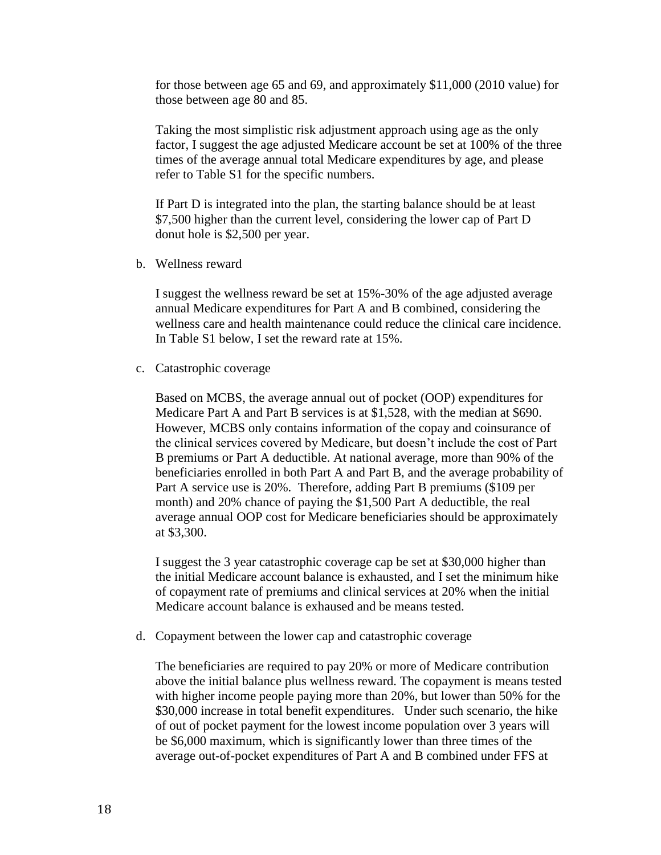for those between age 65 and 69, and approximately \$11,000 (2010 value) for those between age 80 and 85.

Taking the most simplistic risk adjustment approach using age as the only factor, I suggest the age adjusted Medicare account be set at 100% of the three times of the average annual total Medicare expenditures by age, and please refer to Table S1 for the specific numbers.

If Part D is integrated into the plan, the starting balance should be at least \$7,500 higher than the current level, considering the lower cap of Part D donut hole is \$2,500 per year.

b. Wellness reward

I suggest the wellness reward be set at 15%-30% of the age adjusted average annual Medicare expenditures for Part A and B combined, considering the wellness care and health maintenance could reduce the clinical care incidence. In Table S1 below, I set the reward rate at 15%.

c. Catastrophic coverage

Based on MCBS, the average annual out of pocket (OOP) expenditures for Medicare Part A and Part B services is at \$1,528, with the median at \$690. However, MCBS only contains information of the copay and coinsurance of the clinical services covered by Medicare, but doesn't include the cost of Part B premiums or Part A deductible. At national average, more than 90% of the beneficiaries enrolled in both Part A and Part B, and the average probability of Part A service use is 20%. Therefore, adding Part B premiums (\$109 per month) and 20% chance of paying the \$1,500 Part A deductible, the real average annual OOP cost for Medicare beneficiaries should be approximately at \$3,300.

I suggest the 3 year catastrophic coverage cap be set at \$30,000 higher than the initial Medicare account balance is exhausted, and I set the minimum hike of copayment rate of premiums and clinical services at 20% when the initial Medicare account balance is exhaused and be means tested.

d. Copayment between the lower cap and catastrophic coverage

The beneficiaries are required to pay 20% or more of Medicare contribution above the initial balance plus wellness reward. The copayment is means tested with higher income people paying more than 20%, but lower than 50% for the \$30,000 increase in total benefit expenditures. Under such scenario, the hike of out of pocket payment for the lowest income population over 3 years will be \$6,000 maximum, which is significantly lower than three times of the average out-of-pocket expenditures of Part A and B combined under FFS at